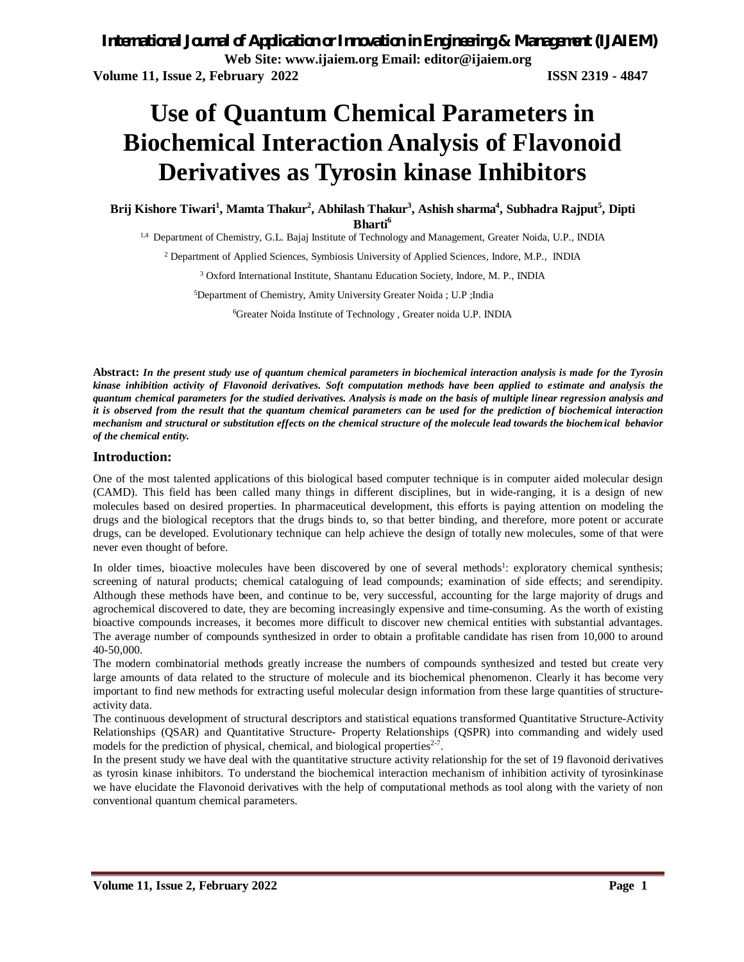*International Journal of Application or Innovation in Engineering & Management (IJAIEM)* **Web Site: www.ijaiem.org Email: editor@ijaiem.org Volume 11, Issue 2, February 2022 ISSN 2319 - 4847**

# **Use of Quantum Chemical Parameters in Biochemical Interaction Analysis of Flavonoid Derivatives as Tyrosin kinase Inhibitors**

**Brij Kishore Tiwari<sup>1</sup> , Mamta Thakur<sup>2</sup> , Abhilash Thakur<sup>3</sup> , Ashish sharma<sup>4</sup> , Subhadra Rajput<sup>5</sup> , Dipti Bharti<sup>6</sup>**

1,4 Department of Chemistry, G.L. Bajaj Institute of Technology and Management, Greater Noida, U.P., INDIA

<sup>2</sup> Department of Applied Sciences, Symbiosis University of Applied Sciences, Indore, M.P., INDIA

<sup>3</sup> Oxford International Institute, Shantanu Education Society, Indore, M. P., INDIA

<sup>5</sup>Department of Chemistry, Amity University Greater Noida ; U.P ;India

6Greater Noida Institute of Technology , Greater noida U.P. INDIA

**Abstract:** *In the present study use of quantum chemical parameters in biochemical interaction analysis is made for the Tyrosin kinase inhibition activity of Flavonoid derivatives. Soft computation methods have been applied to estimate and analysis the quantum chemical parameters for the studied derivatives. Analysis is made on the basis of multiple linear regression analysis and it is observed from the result that the quantum chemical parameters can be used for the prediction of biochemical interaction mechanism and structural or substitution effects on the chemical structure of the molecule lead towards the biochemical behavior of the chemical entity.*

#### **Introduction:**

One of the most talented applications of this biological based computer technique is in computer aided molecular design (CAMD). This field has been called many things in different disciplines, but in wide-ranging, it is a design of new molecules based on desired properties. In pharmaceutical development, this efforts is paying attention on modeling the drugs and the biological receptors that the drugs binds to, so that better binding, and therefore, more potent or accurate drugs, can be developed. Evolutionary technique can help achieve the design of totally new molecules, some of that were never even thought of before.

In older times, bioactive molecules have been discovered by one of several methods<sup>1</sup>: exploratory chemical synthesis; screening of natural products; chemical cataloguing of lead compounds; examination of side effects; and serendipity. Although these methods have been, and continue to be, very successful, accounting for the large majority of drugs and agrochemical discovered to date, they are becoming increasingly expensive and time-consuming. As the worth of existing bioactive compounds increases, it becomes more difficult to discover new chemical entities with substantial advantages. The average number of compounds synthesized in order to obtain a profitable candidate has risen from 10,000 to around 40-50,000.

The modern combinatorial methods greatly increase the numbers of compounds synthesized and tested but create very large amounts of data related to the structure of molecule and its biochemical phenomenon. Clearly it has become very important to find new methods for extracting useful molecular design information from these large quantities of structureactivity data.

The continuous development of structural descriptors and statistical equations transformed Quantitative Structure-Activity Relationships (QSAR) and Quantitative Structure- Property Relationships (QSPR) into commanding and widely used models for the prediction of physical, chemical, and biological properties $2-7$ .

In the present study we have deal with the quantitative structure activity relationship for the set of 19 flavonoid derivatives as tyrosin kinase inhibitors. To understand the biochemical interaction mechanism of inhibition activity of tyrosinkinase we have elucidate the Flavonoid derivatives with the help of computational methods as tool along with the variety of non conventional quantum chemical parameters.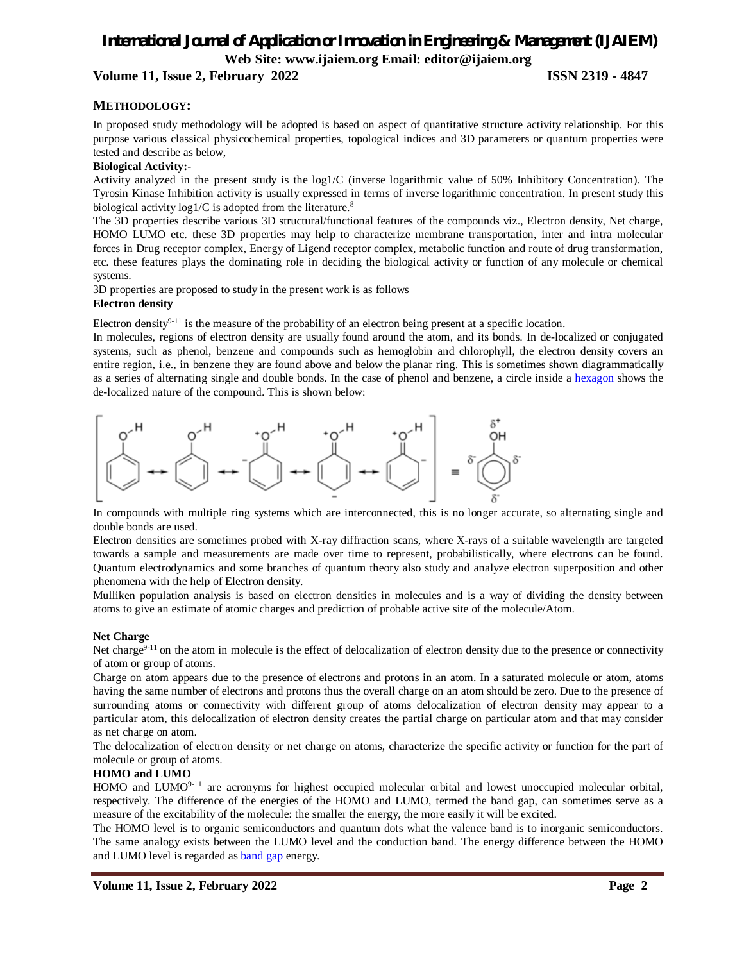## **Volume 11, Issue 2, February 2022 ISSN 2319 - 4847**

## **METHODOLOGY:**

In proposed study methodology will be adopted is based on aspect of quantitative structure activity relationship. For this purpose various classical physicochemical properties, topological indices and 3D parameters or quantum properties were tested and describe as below,

## **Biological Activity:-**

Activity analyzed in the present study is the log1/C (inverse logarithmic value of 50% Inhibitory Concentration). The Tyrosin Kinase Inhibition activity is usually expressed in terms of inverse logarithmic concentration. In present study this biological activity  $log1/C$  is adopted from the literature.<sup>8</sup>

The 3D properties describe various 3D structural/functional features of the compounds viz., Electron density, Net charge, HOMO LUMO etc. these 3D properties may help to characterize membrane transportation, inter and intra molecular forces in Drug receptor complex, Energy of Ligend receptor complex, metabolic function and route of drug transformation, etc. these features plays the dominating role in deciding the biological activity or function of any molecule or chemical systems.

3D properties are proposed to study in the present work is as follows **Electron density** 

Electron density<sup>9-11</sup> is the measure of the probability of an electron being present at a specific location.

In molecules, regions of electron density are usually found around the atom, and its bonds. In de-localized or conjugated systems, such as phenol, benzene and compounds such as hemoglobin and chlorophyll, the electron density covers an entire region, i.e., in benzene they are found above and below the planar ring. This is sometimes shown diagrammatically as a series of alternating single and double bonds. In the case of phenol and benzene, a circle inside a hexagon shows the de-localized nature of the compound. This is shown below:



In compounds with multiple ring systems which are interconnected, this is no longer accurate, so alternating single and double bonds are used.

Electron densities are sometimes probed with X-ray diffraction scans, where X-rays of a suitable wavelength are targeted towards a sample and measurements are made over time to represent, probabilistically, where electrons can be found. Quantum electrodynamics and some branches of quantum theory also study and analyze electron superposition and other phenomena with the help of Electron density.

Mulliken population analysis is based on electron densities in molecules and is a way of dividing the density between atoms to give an estimate of atomic charges and prediction of probable active site of the molecule/Atom.

#### **Net Charge**

Net charge<sup>9-11</sup> on the atom in molecule is the effect of delocalization of electron density due to the presence or connectivity of atom or group of atoms.

Charge on atom appears due to the presence of electrons and protons in an atom. In a saturated molecule or atom, atoms having the same number of electrons and protons thus the overall charge on an atom should be zero. Due to the presence of surrounding atoms or connectivity with different group of atoms delocalization of electron density may appear to a particular atom, this delocalization of electron density creates the partial charge on particular atom and that may consider as net charge on atom.

The delocalization of electron density or net charge on atoms, characterize the specific activity or function for the part of molecule or group of atoms.

#### **HOMO and LUMO**

HOMO and LUMO<sup>9-11</sup> are acronyms for highest occupied molecular orbital and lowest unoccupied molecular orbital, respectively. The difference of the energies of the HOMO and LUMO, termed the band gap, can sometimes serve as a measure of the excitability of the molecule: the smaller the energy, the more easily it will be excited.

The HOMO level is to organic semiconductors and quantum dots what the valence band is to inorganic semiconductors. The same analogy exists between the LUMO level and the conduction band. The energy difference between the HOMO and LUMO level is regarded as band gap energy.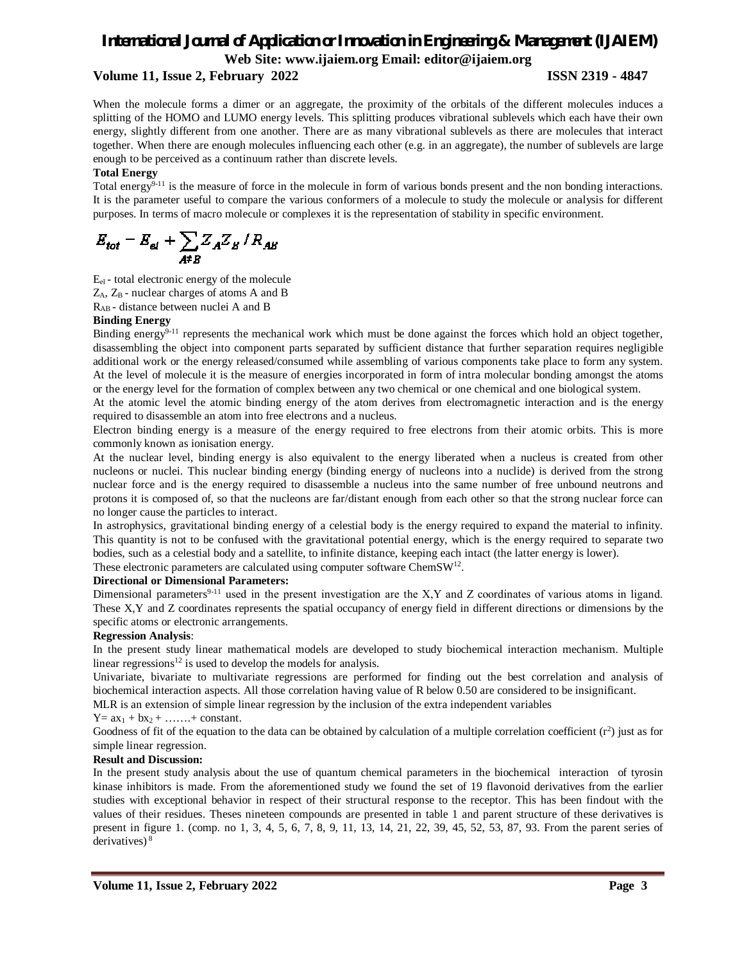## **Volume 11, Issue 2, February 2022 ISSN 2319 - 4847**

When the molecule forms a dimer or an aggregate, the proximity of the orbitals of the different molecules induces a splitting of the HOMO and LUMO energy levels. This splitting produces vibrational sublevels which each have their own energy, slightly different from one another. There are as many vibrational sublevels as there are molecules that interact together. When there are enough molecules influencing each other (e.g. in an aggregate), the number of sublevels are large enough to be perceived as a continuum rather than discrete levels.

## **Total Energy**

Total energy<sup>9-11</sup> is the measure of force in the molecule in form of various bonds present and the non bonding interactions. It is the parameter useful to compare the various conformers of a molecule to study the molecule or analysis for different purposes. In terms of macro molecule or complexes it is the representation of stability in specific environment.

 $E_{tot} = E_{el} + \sum_{AE} Z_A Z_B / R_{AB}$ 

Eel - total electronic energy of the molecule

 $Z_A$ ,  $Z_B$  - nuclear charges of atoms A and B

RAB - distance between nuclei A and B

## **Binding Energy**

Binding energy<sup>9-11</sup> represents the mechanical work which must be done against the forces which hold an object together, disassembling the object into component parts separated by sufficient distance that further separation requires negligible additional work or the energy released/consumed while assembling of various components take place to form any system. At the level of molecule it is the measure of energies incorporated in form of intra molecular bonding amongst the atoms or the energy level for the formation of complex between any two chemical or one chemical and one biological system.

At the atomic level the atomic binding energy of the atom derives from electromagnetic interaction and is the energy required to disassemble an atom into free electrons and a nucleus.

Electron binding energy is a measure of the energy required to free electrons from their atomic orbits. This is more commonly known as ionisation energy.

At the nuclear level, binding energy is also equivalent to the energy liberated when a nucleus is created from other nucleons or nuclei. This nuclear binding energy (binding energy of nucleons into a nuclide) is derived from the strong nuclear force and is the energy required to disassemble a nucleus into the same number of free unbound neutrons and protons it is composed of, so that the nucleons are far/distant enough from each other so that the strong nuclear force can no longer cause the particles to interact.

In astrophysics, gravitational binding energy of a celestial body is the energy required to expand the material to infinity. This quantity is not to be confused with the gravitational potential energy, which is the energy required to separate two bodies, such as a celestial body and a satellite, to infinite distance, keeping each intact (the latter energy is lower).

These electronic parameters are calculated using computer software ChemSW<sup>12</sup>.

#### **Directional or Dimensional Parameters:**

Dimensional parameters<sup>9-11</sup> used in the present investigation are the X,Y and Z coordinates of various atoms in ligand. These X,Y and Z coordinates represents the spatial occupancy of energy field in different directions or dimensions by the specific atoms or electronic arrangements.

#### **Regression Analysis**:

In the present study linear mathematical models are developed to study biochemical interaction mechanism. Multiple linear regressions $12$  is used to develop the models for analysis.

Univariate, bivariate to multivariate regressions are performed for finding out the best correlation and analysis of biochemical interaction aspects. All those correlation having value of R below 0.50 are considered to be insignificant.

MLR is an extension of simple linear regression by the inclusion of the extra independent variables

#### $Y = ax_1 + bx_2 + \ldots + constant.$

Goodness of fit of the equation to the data can be obtained by calculation of a multiple correlation coefficient  $(r^2)$  just as for simple linear regression.

#### **Result and Discussion:**

In the present study analysis about the use of quantum chemical parameters in the biochemical interaction of tyrosin kinase inhibitors is made. From the aforementioned study we found the set of 19 flavonoid derivatives from the earlier studies with exceptional behavior in respect of their structural response to the receptor. This has been findout with the values of their residues. Theses nineteen compounds are presented in table 1 and parent structure of these derivatives is present in figure 1. (comp. no 1, 3, 4, 5, 6, 7, 8, 9, 11, 13, 14, 21, 22, 39, 45, 52, 53, 87, 93. From the parent series of derivatives)<sup>8</sup>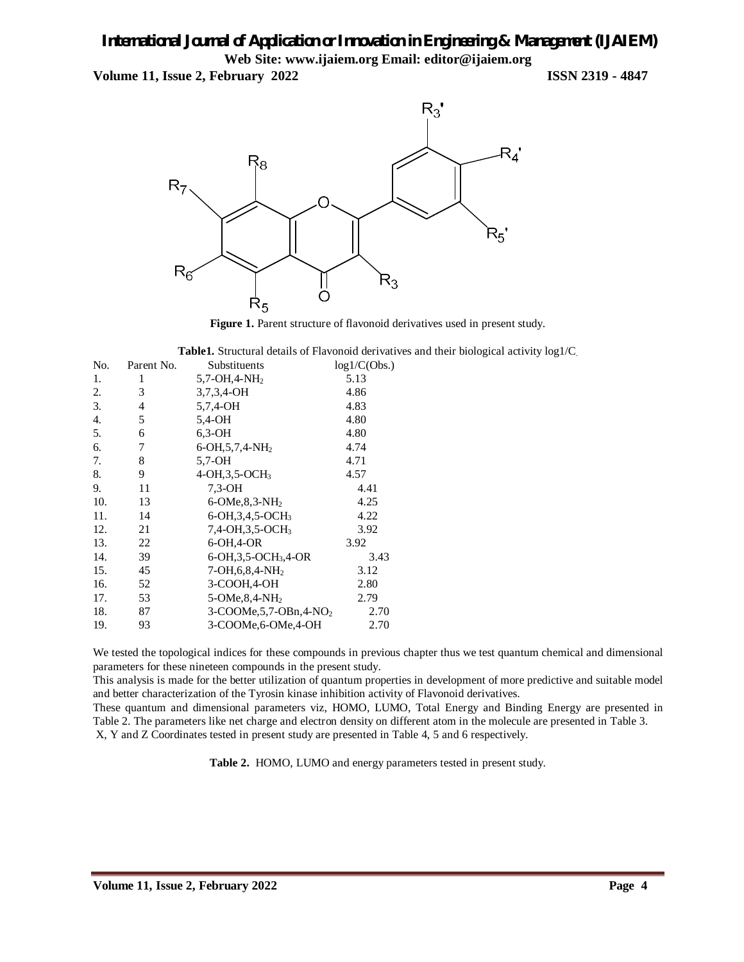**Volume 11, Issue 2, February 2022 ISSN 2319 - 4847**



Figure 1. Parent structure of flavonoid derivatives used in present study.

**Table1.** Structural details of Flavonoid derivatives and their biological activity log1/C.

| No. | Parent No. | Substituents                            | log1/C(Obs.) |
|-----|------------|-----------------------------------------|--------------|
| 1.  | 1          | $5,7$ -OH, 4-NH <sub>2</sub>            | 5.13         |
| 2.  | 3          | 3,7,3,4-OH                              | 4.86         |
| 3.  | 4          | 5,7,4-OH                                | 4.83         |
| 4.  | 5          | 5,4-OH                                  | 4.80         |
| 5.  | 6          | $6,3-OH$                                | 4.80         |
| 6.  | 7          | 6-OH, 5, 7, 4-NH <sub>2</sub>           | 4.74         |
| 7.  | 8          | $5,7-OH$                                | 4.71         |
| 8.  | 9          | 4-OH, 3, 5-OCH <sub>3</sub>             | 4.57         |
| 9.  | 11         | $7.3-DH$                                | 4.41         |
| 10. | 13         | 6-OMe, $8,3-NH2$                        | 4.25         |
| 11. | 14         | $6-OH, 3, 4, 5-OCH3$                    | 4.22         |
| 12. | 21         | $7,4$ -OH, $3,5$ -OCH <sub>3</sub>      | 3.92         |
| 13. | 22         | 6-OH, 4-OR                              | 3.92         |
| 14. | 39         | 6-OH, 3, 5-OCH <sub>3</sub> , 4-OR      | 3.43         |
| 15. | 45         | $7-OH, 6, 8, 4-NH2$                     | 3.12         |
| 16. | 52         | 3-COOH, 4-OH                            | 2.80         |
| 17. | 53         | $5$ -OMe, $8,4$ -NH <sub>2</sub>        | 2.79         |
| 18. | 87         | $3$ -COOMe, 5, 7-OBn, 4-NO <sub>2</sub> | 2.70         |
| 19. | 93         | 3-COOMe, 6-OMe, 4-OH                    | 2.70         |

We tested the topological indices for these compounds in previous chapter thus we test quantum chemical and dimensional parameters for these nineteen compounds in the present study.

This analysis is made for the better utilization of quantum properties in development of more predictive and suitable model and better characterization of the Tyrosin kinase inhibition activity of Flavonoid derivatives.

These quantum and dimensional parameters viz, HOMO, LUMO, Total Energy and Binding Energy are presented in Table 2. The parameters like net charge and electron density on different atom in the molecule are presented in Table 3. X, Y and Z Coordinates tested in present study are presented in Table 4, 5 and 6 respectively.

**Table 2.** HOMO, LUMO and energy parameters tested in present study.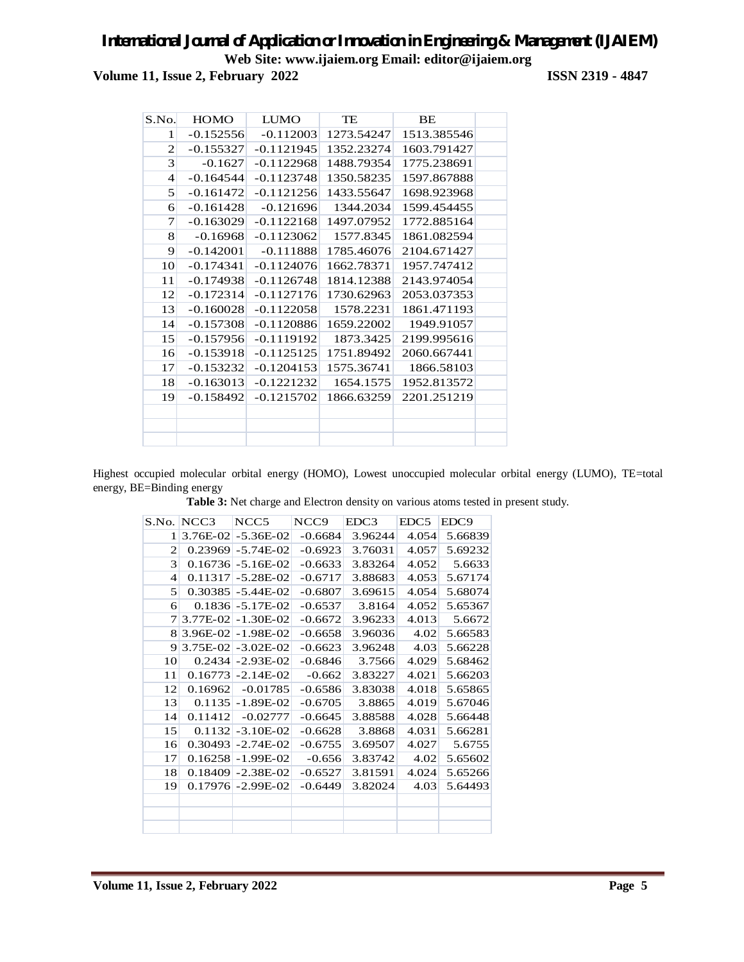**Volume 11, Issue 2, February 2022 ISSN 2319 - 4847**

| S.No.                    | <b>HOMO</b> | <b>LUMO</b>  | TE         | BE          |  |
|--------------------------|-------------|--------------|------------|-------------|--|
| $\mathbf{1}$             | $-0.152556$ | $-0.112003$  | 1273.54247 | 1513.385546 |  |
| $\mathbf{2}$             | $-0.155327$ | $-0.1121945$ | 1352.23274 | 1603.791427 |  |
| 3                        | $-0.1627$   | $-0.1122968$ | 1488.79354 | 1775.238691 |  |
| $\overline{\mathcal{A}}$ | $-0.164544$ | $-0.1123748$ | 1350.58235 | 1597.867888 |  |
| 5                        | $-0.161472$ | $-0.1121256$ | 1433.55647 | 1698.923968 |  |
| 6                        | $-0.161428$ | $-0.121696$  | 1344.2034  | 1599.454455 |  |
| 7                        | $-0.163029$ | $-0.1122168$ | 1497.07952 | 1772.885164 |  |
| 8                        | $-0.16968$  | $-0.1123062$ | 1577.8345  | 1861.082594 |  |
| 9                        | $-0.142001$ | $-0.111888$  | 1785.46076 | 2104.671427 |  |
| 10                       | $-0.174341$ | $-0.1124076$ | 1662.78371 | 1957.747412 |  |
| 11                       | $-0.174938$ | $-0.1126748$ | 1814.12388 | 2143.974054 |  |
| 12                       | $-0.172314$ | $-0.1127176$ | 1730.62963 | 2053.037353 |  |
| 13                       | $-0.160028$ | $-0.1122058$ | 1578.2231  | 1861.471193 |  |
| 14                       | $-0.157308$ | $-0.1120886$ | 1659.22002 | 1949.91057  |  |
| 15                       | $-0.157956$ | $-0.1119192$ | 1873.3425  | 2199.995616 |  |
| 16                       | $-0.153918$ | $-0.1125125$ | 1751.89492 | 2060.667441 |  |
| 17                       | $-0.153232$ | $-0.1204153$ | 1575.36741 | 1866.58103  |  |
| 18                       | $-0.163013$ | $-0.1221232$ | 1654.1575  | 1952.813572 |  |
| 19                       | $-0.158492$ | $-0.1215702$ | 1866.63259 | 2201.251219 |  |
|                          |             |              |            |             |  |
|                          |             |              |            |             |  |
|                          |             |              |            |             |  |

Highest occupied molecular orbital energy (HOMO), Lowest unoccupied molecular orbital energy (LUMO), TE=total energy, BE=Binding energy

**Table 3:** Net charge and Electron density on various atoms tested in present study.

|                | S.No. NCC3 | NCC <sub>5</sub>        | NCC <sub>9</sub> | EDC3    | EDC <sub>5</sub> | EDC <sub>9</sub> |
|----------------|------------|-------------------------|------------------|---------|------------------|------------------|
| 1              |            | $3.76E-02$ - $5.36E-02$ | $-0.6684$        | 3.96244 | 4.054            | 5.66839          |
| $\overline{c}$ |            | $0.23969$ -5.74E-02     | $-0.6923$        | 3.76031 | 4.057            | 5.69232          |
| 3              |            | $0.16736 - 5.16E-02$    | $-0.6633$        | 3.83264 | 4.052            | 5.6633           |
| $\overline{4}$ |            | $0.11317 - 5.28E - 02$  | $-0.6717$        | 3.88683 | 4.053            | 5.67174          |
| 5              |            | $0.30385 - 5.44E - 02$  | $-0.6807$        | 3.69615 | 4.054            | 5.68074          |
| 6              |            | $0.1836$ - 5.17E-02     | $-0.6537$        | 3.8164  | 4.052            | 5.65367          |
| 7              |            | $3.77E-02$ - 1.30E-02   | $-0.6672$        | 3.96233 | 4.013            | 5.6672           |
| 8              |            | $3.96E-02$ - 1.98E-02   | $-0.6658$        | 3.96036 | 4.02             | 5.66583          |
| 9              |            | $3.75E-02$ - $3.02E-02$ | $-0.6623$        | 3.96248 | 4.03             | 5.66228          |
| 10             |            | $0.2434$ - 2.93E-02     | $-0.6846$        | 3.7566  | 4.029            | 5.68462          |
| 11             |            | $0.16773$ - 2.14E-02    | $-0.662$         | 3.83227 | 4.021            | 5.66203          |
| 12             | 0.16962    | $-0.01785$              | $-0.6586$        | 3.83038 | 4.018            | 5.65865          |
| 13             | 0.1135     | $-1.89E-02$             | $-0.6705$        | 3.8865  | 4.019            | 5.67046          |
| 14             | 0.11412    | $-0.02777$              | $-0.6645$        | 3.88588 | 4.028            | 5.66448          |
| 15             |            | $0.1132$ - 3.10E-02     | $-0.6628$        | 3.8868  | 4.031            | 5.66281          |
| 16             | 0.30493    | $-2.74E-02$             | $-0.6755$        | 3.69507 | 4.027            | 5.6755           |
| 17             |            | $0.16258 - 1.99E-02$    | $-0.656$         | 3.83742 | 4.02             | 5.65602          |
| 18             |            | $0.18409$ - 2.38E-02    | $-0.6527$        | 3.81591 | 4.024            | 5.65266          |
| 19             |            | $0.17976$ - 2.99E-02    | $-0.6449$        | 3.82024 | 4.03             | 5.64493          |
|                |            |                         |                  |         |                  |                  |
|                |            |                         |                  |         |                  |                  |
|                |            |                         |                  |         |                  |                  |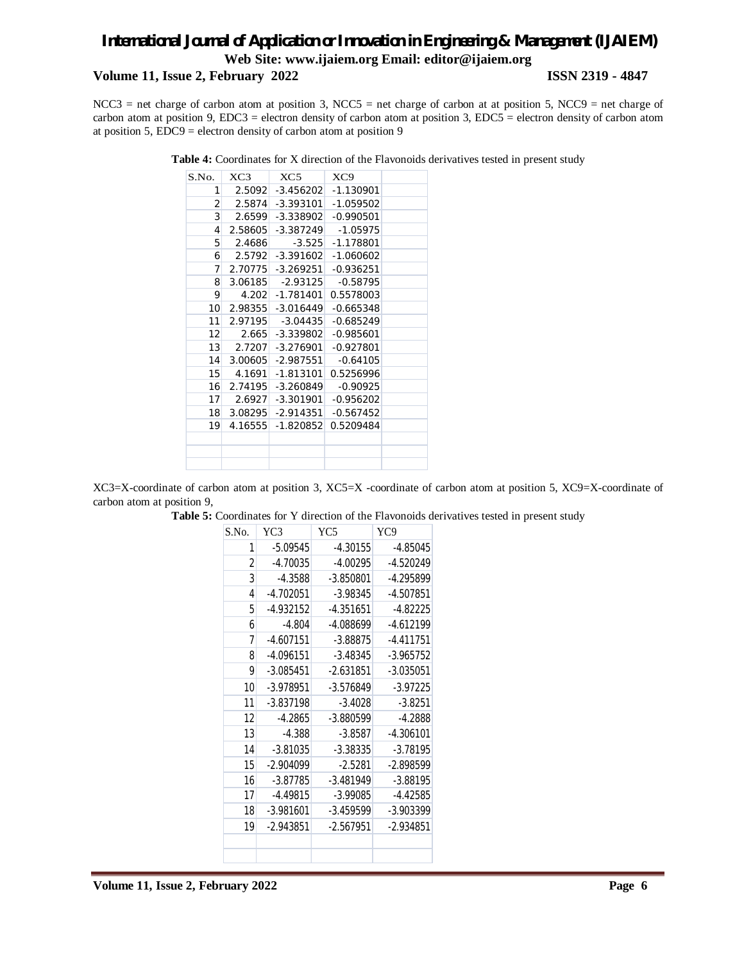## **Volume 11, Issue 2, February 2022 ISSN 2319 - 4847**

NCC3 = net charge of carbon atom at position 3, NCC5 = net charge of carbon at at position 5, NCC9 = net charge of carbon atom at position 9, EDC3 = electron density of carbon atom at position 3, EDC5 = electron density of carbon atom at position 5, EDC9 = electron density of carbon atom at position 9

| Table 4: Coordinates for X direction of the Flavonoids derivatives tested in present study |  |
|--------------------------------------------------------------------------------------------|--|
|--------------------------------------------------------------------------------------------|--|

| S.No.           | XC3     | XC5                         | XC <sub>9</sub>         |  |
|-----------------|---------|-----------------------------|-------------------------|--|
| 1               |         | 2.5092 -3.456202 -1.130901  |                         |  |
| 2               |         | 2.5874 -3.393101 -1.059502  |                         |  |
| 3               | 2.6599  |                             | $-3.338902$ $-0.990501$ |  |
| $\overline{4}$  | 2.58605 | $-3.387249$                 | $-1.05975$              |  |
| 5               | 2.4686  | $-3.525$                    | -1.178801               |  |
| 6               | 2.5792  |                             | $-3.391602$ $-1.060602$ |  |
| $\overline{7}$  |         | 2.70775 -3.269251 -0.936251 |                         |  |
| 8               | 3.06185 | $-2.93125$                  | $-0.58795$              |  |
| 9               | 4.202   | $-1.781401$                 | 0.5578003               |  |
| 10 <sup>1</sup> | 2.98355 | $-3.016449$                 | -0.665348               |  |
| 11              | 2.97195 |                             | -3.04435 -0.685249      |  |
| 12              | 2.665   |                             | $-3.339802$ $-0.985601$ |  |
| 13              | 2.7207  | $-3.276901$                 | $-0.927801$             |  |
| 14              |         | $3.00605$ -2.987551         | $-0.64105$              |  |
| 15              |         | 4.1691 -1.813101            | 0.5256996               |  |
| 16              |         | 2.74195 - 3.260849          | $-0.90925$              |  |
| 17 <sup>1</sup> |         | $2.6927$ -3.301901          | $-0.956202$             |  |
| 18              |         | $3.08295$ $-2.914351$       | $-0.567452$             |  |
| 19              | 4.16555 | $-1.820852$                 | 0.5209484               |  |
|                 |         |                             |                         |  |
|                 |         |                             |                         |  |
|                 |         |                             |                         |  |

XC3=X-coordinate of carbon atom at position 3, XC5=X -coordinate of carbon atom at position 5, XC9=X-coordinate of carbon atom at position 9,

Table 5: Coordinates for Y direction of the Flavonoids derivatives tested in present study

| S.No.          | YC3         | YC5         | YC9         |
|----------------|-------------|-------------|-------------|
| 1              | $-5.09545$  | $-4.30155$  | $-4.85045$  |
| $\overline{2}$ | $-4.70035$  | $-4.00295$  | $-4.520249$ |
| 3              | $-4.3588$   | $-3.850801$ | $-4.295899$ |
| $\overline{4}$ | $-4.702051$ | $-3.98345$  | $-4.507851$ |
| 5              | -4.932152   | $-4.351651$ | $-4.82225$  |
| 6              | $-4.804$    | -4.088699   | $-4.612199$ |
| 7              | $-4.607151$ | $-3.88875$  | $-4.411751$ |
| 8              | $-4.096151$ | $-3.48345$  | $-3.965752$ |
| 9              | $-3.085451$ | $-2.631851$ | $-3.035051$ |
| 10             | -3.978951   | $-3.576849$ | $-3.97225$  |
| 11             | $-3.837198$ | $-3.4028$   | $-3.8251$   |
| 12             | $-4.2865$   | -3.880599   | $-4.2888$   |
| 13             | $-4.388$    | $-3.8587$   | $-4.306101$ |
| 14             | $-3.81035$  | $-3.38335$  | $-3.78195$  |
| 15             | $-2.904099$ | $-2.5281$   | $-2.898599$ |
| 16             | $-3.87785$  | $-3.481949$ | $-3.88195$  |
| 17             | $-4.49815$  | $-3.99085$  | $-4.42585$  |
| 18             | $-3.981601$ | $-3.459599$ | $-3.903399$ |
| 19             | $-2.943851$ | $-2.567951$ | $-2.934851$ |
|                |             |             |             |
|                |             |             |             |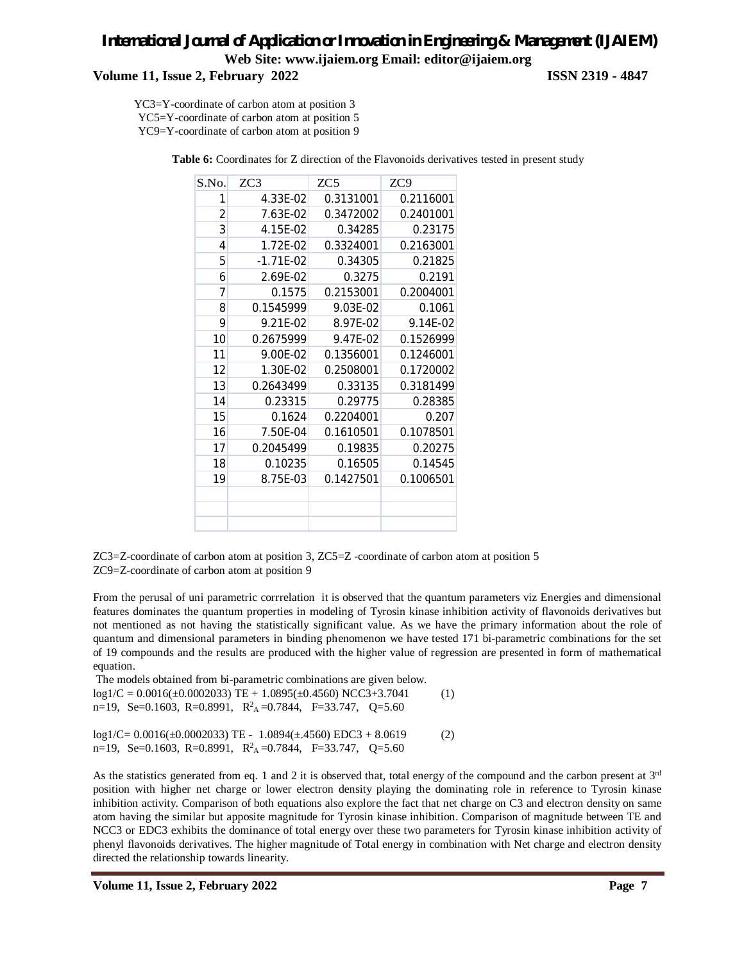## **Volume 11, Issue 2, February 2022 ISSN 2319 - 4847**

YC3=Y-coordinate of carbon atom at position 3 YC5=Y-coordinate of carbon atom at position 5 YC9=Y-coordinate of carbon atom at position 9

| S.No.          | ZC3         | ZC <sub>5</sub> | ZC <sub>9</sub> |
|----------------|-------------|-----------------|-----------------|
| 1              | 4.33E-02    | 0.3131001       | 0.2116001       |
| $\overline{2}$ | 7.63E-02    | 0.3472002       | 0.2401001       |
| 3              | 4.15E-02    | 0.34285         | 0.23175         |
| 4              | 1.72E-02    | 0.3324001       | 0.2163001       |
| 5              | $-1.71E-02$ | 0.34305         | 0.21825         |
| 6              | 2.69E-02    | 0.3275          | 0.2191          |
| 7              | 0.1575      | 0.2153001       | 0.2004001       |
| 8              | 0.1545999   | 9.03E-02        | 0.1061          |
| 9              | 9.21E-02    | 8.97E-02        | 9.14E-02        |
| 10             | 0.2675999   | 9.47E-02        | 0.1526999       |
| 11             | 9.00E-02    | 0.1356001       | 0.1246001       |
| 12             | 1.30E-02    | 0.2508001       | 0.1720002       |
| 13             | 0.2643499   | 0.33135         | 0.3181499       |
| 14             | 0.23315     | 0.29775         | 0.28385         |
| 15             | 0.1624      | 0.2204001       | 0.207           |
| 16             | 7.50E-04    | 0.1610501       | 0.1078501       |
| 17             | 0.2045499   | 0.19835         | 0.20275         |
| 18             | 0.10235     | 0.16505         | 0.14545         |
| 19             | 8.75E-03    | 0.1427501       | 0.1006501       |
|                |             |                 |                 |
|                |             |                 |                 |
|                |             |                 |                 |

Table 6: Coordinates for Z direction of the Flavonoids derivatives tested in present study

ZC3=Z-coordinate of carbon atom at position 3, ZC5=Z -coordinate of carbon atom at position 5 ZC9=Z-coordinate of carbon atom at position 9

From the perusal of uni parametric corrrelation it is observed that the quantum parameters viz Energies and dimensional features dominates the quantum properties in modeling of Tyrosin kinase inhibition activity of flavonoids derivatives but not mentioned as not having the statistically significant value. As we have the primary information about the role of quantum and dimensional parameters in binding phenomenon we have tested 171 bi-parametric combinations for the set of 19 compounds and the results are produced with the higher value of regression are presented in form of mathematical equation.

The models obtained from bi-parametric combinations are given below.  $log1/C = 0.0016(\pm 0.0002033)$  TE + 1.0895( $\pm 0.4560$ ) NCC3+3.7041 (1) n=19, Se=0.1603, R=0.8991,  $R^2$ <sub>A</sub>=0.7844, F=33.747, Q=5.60

log1/C= 0.0016(±0.0002033) TE - 1.0894(±.4560) EDC3 + 8.0619 (2) n=19, Se=0.1603, R=0.8991,  $R^2$ <sub>A</sub>=0.7844, F=33.747, Q=5.60

As the statistics generated from eq. 1 and 2 it is observed that, total energy of the compound and the carbon present at  $3<sup>rd</sup>$ position with higher net charge or lower electron density playing the dominating role in reference to Tyrosin kinase inhibition activity. Comparison of both equations also explore the fact that net charge on C3 and electron density on same atom having the similar but apposite magnitude for Tyrosin kinase inhibition. Comparison of magnitude between TE and NCC3 or EDC3 exhibits the dominance of total energy over these two parameters for Tyrosin kinase inhibition activity of phenyl flavonoids derivatives. The higher magnitude of Total energy in combination with Net charge and electron density directed the relationship towards linearity.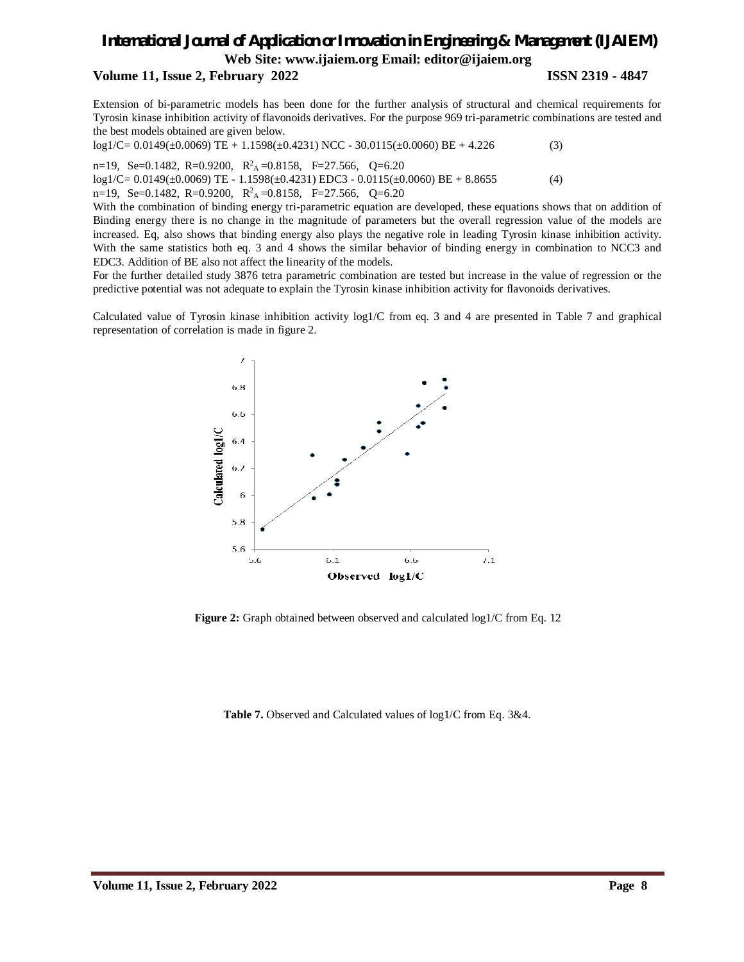#### **Volume 11, Issue 2, February 2022 ISSN 2319 - 4847**

Extension of bi-parametric models has been done for the further analysis of structural and chemical requirements for Tyrosin kinase inhibition activity of flavonoids derivatives. For the purpose 969 tri-parametric combinations are tested and the best models obtained are given below.

 $log1/C = 0.0149(\pm 0.0069)$  TE + 1.1598( $\pm 0.4231$ ) NCC - 30.0115( $\pm 0.0060$ ) BE + 4.226 (3)

n=19, Se=0.1482, R=0.9200, R 2 <sup>A</sup>=0.8158, F=27.566, Q=6.20  $log1/C = 0.0149(\pm 0.0069)$  TE - 1.1598( $\pm 0.4231$ ) EDC3 - 0.0115( $\pm 0.0060$ ) BE + 8.8655 (4) n=19, Se=0.1482, R=0.9200,  $R^2$ <sub>A</sub>=0.8158, F=27.566, Q=6.20

With the combination of binding energy tri-parametric equation are developed, these equations shows that on addition of Binding energy there is no change in the magnitude of parameters but the overall regression value of the models are increased. Eq, also shows that binding energy also plays the negative role in leading Tyrosin kinase inhibition activity. With the same statistics both eq. 3 and 4 shows the similar behavior of binding energy in combination to NCC3 and EDC3. Addition of BE also not affect the linearity of the models.

For the further detailed study 3876 tetra parametric combination are tested but increase in the value of regression or the predictive potential was not adequate to explain the Tyrosin kinase inhibition activity for flavonoids derivatives.

Calculated value of Tyrosin kinase inhibition activity log1/C from eq. 3 and 4 are presented in Table 7 and graphical representation of correlation is made in figure 2.



**Figure 2:** Graph obtained between observed and calculated log1/C from Eq. 12

**Table 7.** Observed and Calculated values of log1/C from Eq. 3&4.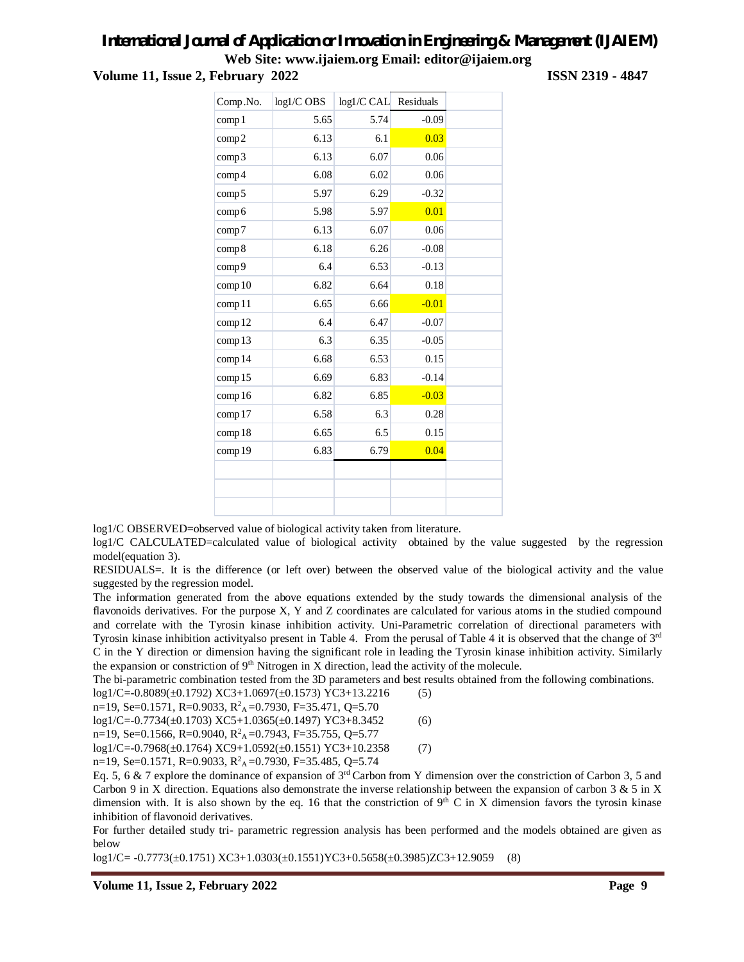## **Volume 11, Issue 2, February 2022 ISSN 2319 - 4847**

| Comp.No.          | log1/C OBS | log1/C CAL | Residuals |  |
|-------------------|------------|------------|-----------|--|
| comp1             | 5.65       | 5.74       | $-0.09$   |  |
| comp2             | 6.13       | 6.1        | 0.03      |  |
| comp3             | 6.13       | 6.07       | 0.06      |  |
| comp <sub>4</sub> | 6.08       | 6.02       | 0.06      |  |
| comp5             | 5.97       | 6.29       | $-0.32$   |  |
| comp6             | 5.98       | 5.97       | 0.01      |  |
| comp7             | 6.13       | 6.07       | 0.06      |  |
| comp8             | 6.18       | 6.26       | $-0.08$   |  |
| comp9             | 6.4        | 6.53       | $-0.13$   |  |
| comp10            | 6.82       | 6.64       | 0.18      |  |
| comp11            | 6.65       | 6.66       | $-0.01$   |  |
| comp12            | 6.4        | 6.47       | $-0.07$   |  |
| comp13            | 6.3        | 6.35       | $-0.05$   |  |
| comp14            | 6.68       | 6.53       | 0.15      |  |
| comp15            | 6.69       | 6.83       | $-0.14$   |  |
| comp16            | 6.82       | 6.85       | $-0.03$   |  |
| comp17            | 6.58       | 6.3        | 0.28      |  |
| comp18            | 6.65       | 6.5        | 0.15      |  |
| comp19            | 6.83       | 6.79       | 0.04      |  |
|                   |            |            |           |  |
|                   |            |            |           |  |
|                   |            |            |           |  |

log1/C OBSERVED=observed value of biological activity taken from literature.

log1/C CALCULATED=calculated value of biological activity obtained by the value suggested by the regression model(equation 3).

RESIDUALS=. It is the difference (or left over) between the observed value of the biological activity and the value suggested by the regression model.

The information generated from the above equations extended by the study towards the dimensional analysis of the flavonoids derivatives. For the purpose X, Y and Z coordinates are calculated for various atoms in the studied compound and correlate with the Tyrosin kinase inhibition activity. Uni-Parametric correlation of directional parameters with Tyrosin kinase inhibition activityalso present in Table 4. From the perusal of Table 4 it is observed that the change of  $3<sup>rd</sup>$ C in the Y direction or dimension having the significant role in leading the Tyrosin kinase inhibition activity. Similarly the expansion or constriction of  $9<sup>th</sup>$  Nitrogen in X direction, lead the activity of the molecule.

The bi-parametric combination tested from the 3D parameters and best results obtained from the following combinations.  $log1/C = -0.8089(\pm 0.1792) XC3+1.0697(\pm 0.1573) YC3+13.2216$  (5)

n=19, Se=0.1571, R=0.9033, R<sup>2</sup> <sup>A</sup>=0.7930, F=35.471, Q=5.70

log1/C=-0.7734(±0.1703) XC5+1.0365(±0.1497) YC3+8.3452 (6)

n=19, Se=0.1566, R=0.9040, R<sup>2</sup> <sup>A</sup>=0.7943, F=35.755, Q=5.77

 $log1/C = -0.7968(\pm 0.1764) XC9 + 1.0592(\pm 0.1551) YC3 + 10.2358$  (7)

n=19, Se=0.1571, R=0.9033, R<sup>2</sup><sub>A</sub>=0.7930, F=35.485, Q=5.74

Eq. 5, 6 & 7 explore the dominance of expansion of  $3<sup>rd</sup>$  Carbon from Y dimension over the constriction of Carbon 3, 5 and Carbon 9 in X direction. Equations also demonstrate the inverse relationship between the expansion of carbon 3 & 5 in X dimension with. It is also shown by the eq. 16 that the constriction of  $9<sup>th</sup>$  C in X dimension favors the tyrosin kinase inhibition of flavonoid derivatives.

For further detailed study tri- parametric regression analysis has been performed and the models obtained are given as below

log1/C= -0.7773(±0.1751) XC3+1.0303(±0.1551)YC3+0.5658(±0.3985)ZC3+12.9059 (8)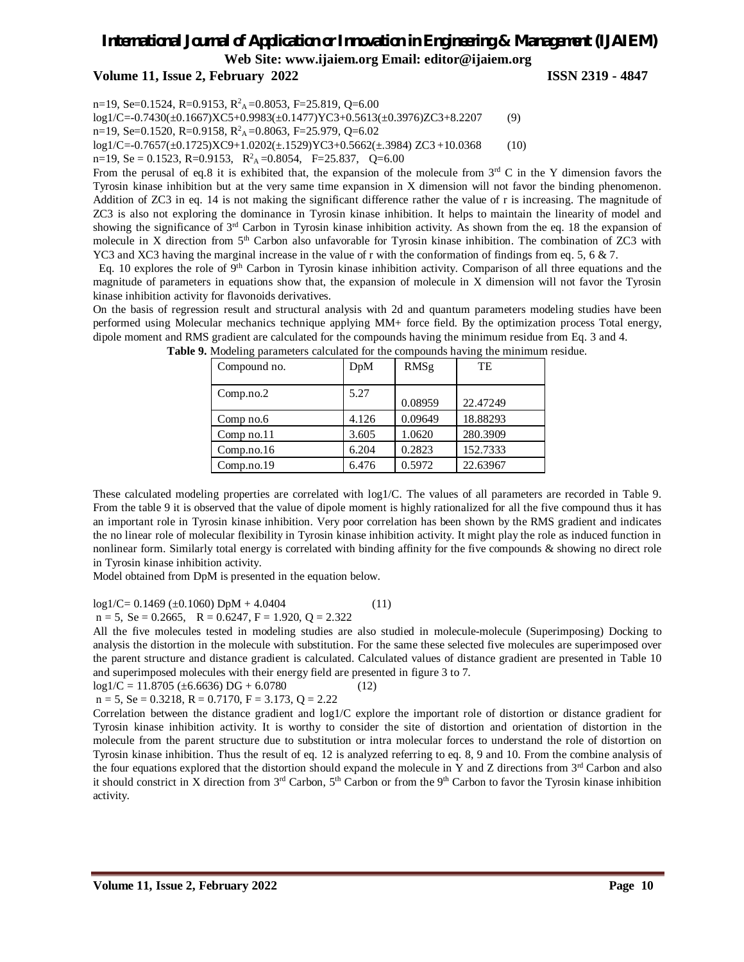**Volume 11, Issue 2, February 2022 ISSN 2319 - 4847**

n=19, Se=0.1524, R=0.9153, R<sup>2</sup><sub>A</sub>=0.8053, F=25.819, Q=6.00

log1/C=-0.7430(±0.1667)XC5+0.9983(±0.1477)YC3+0.5613(±0.3976)ZC3+8.2207 (9) n=19, Se=0.1520, R=0.9158, R<sup>2</sup><sub>A</sub>=0.8063, F=25.979, Q=6.02

log1/C=-0.7657(±0.1725)XC9+1.0202(±.1529)YC3+0.5662(±.3984) ZC3 +10.0368 (10)

 $n=19$ , Se = 0.1523, R=0.9153, R<sup>2</sup><sub>A</sub> = 0.8054, F=25.837, Q=6.00

From the perusal of eq.8 it is exhibited that, the expansion of the molecule from  $3<sup>rd</sup>$  C in the Y dimension favors the Tyrosin kinase inhibition but at the very same time expansion in X dimension will not favor the binding phenomenon. Addition of ZC3 in eq. 14 is not making the significant difference rather the value of r is increasing. The magnitude of ZC3 is also not exploring the dominance in Tyrosin kinase inhibition. It helps to maintain the linearity of model and showing the significance of 3<sup>rd</sup> Carbon in Tyrosin kinase inhibition activity. As shown from the eq. 18 the expansion of molecule in X direction from 5<sup>th</sup> Carbon also unfavorable for Tyrosin kinase inhibition. The combination of ZC3 with YC3 and XC3 having the marginal increase in the value of r with the conformation of findings from eq. 5, 6  $\&$  7.

Eq. 10 explores the role of  $9<sup>th</sup>$  Carbon in Tyrosin kinase inhibition activity. Comparison of all three equations and the magnitude of parameters in equations show that, the expansion of molecule in X dimension will not favor the Tyrosin kinase inhibition activity for flavonoids derivatives.

On the basis of regression result and structural analysis with 2d and quantum parameters modeling studies have been performed using Molecular mechanics technique applying MM+ force field. By the optimization process Total energy, dipole moment and RMS gradient are calculated for the compounds having the minimum residue from Eq. 3 and 4.

| Compound no. | DpM   | RMSg    | TE       |
|--------------|-------|---------|----------|
| Comp.no.2    | 5.27  | 0.08959 | 22.47249 |
| Comp no.6    | 4.126 | 0.09649 | 18.88293 |
| Comp no.11   | 3.605 | 1.0620  | 280.3909 |
| Comp.no.16   | 6.204 | 0.2823  | 152.7333 |
| Comp.no.19   | 6.476 | 0.5972  | 22.63967 |

**Table 9.** Modeling parameters calculated for the compounds having the minimum residue.

These calculated modeling properties are correlated with log1/C. The values of all parameters are recorded in Table 9. From the table 9 it is observed that the value of dipole moment is highly rationalized for all the five compound thus it has an important role in Tyrosin kinase inhibition. Very poor correlation has been shown by the RMS gradient and indicates the no linear role of molecular flexibility in Tyrosin kinase inhibition activity. It might play the role as induced function in nonlinear form. Similarly total energy is correlated with binding affinity for the five compounds & showing no direct role in Tyrosin kinase inhibition activity.

Model obtained from DpM is presented in the equation below.

 $log1/C = 0.1469 \ (\pm 0.1060) \ DpM + 4.0404$  (11)

 $n = 5$ , Se = 0.2665, R = 0.6247, F = 1.920, Q = 2.322

All the five molecules tested in modeling studies are also studied in molecule-molecule (Superimposing) Docking to analysis the distortion in the molecule with substitution. For the same these selected five molecules are superimposed over the parent structure and distance gradient is calculated. Calculated values of distance gradient are presented in Table 10 and superimposed molecules with their energy field are presented in figure 3 to 7.

 $log1/C = 11.8705 (\pm 6.6636) DG + 6.0780$  (12)

 $n = 5$ , Se = 0.3218, R = 0.7170, F = 3.173, Q = 2.22

Correlation between the distance gradient and log1/C explore the important role of distortion or distance gradient for Tyrosin kinase inhibition activity. It is worthy to consider the site of distortion and orientation of distortion in the molecule from the parent structure due to substitution or intra molecular forces to understand the role of distortion on Tyrosin kinase inhibition. Thus the result of eq. 12 is analyzed referring to eq. 8, 9 and 10. From the combine analysis of the four equations explored that the distortion should expand the molecule in Y and Z directions from 3rd Carbon and also it should constrict in X direction from  $3<sup>rd</sup>$  Carbon,  $5<sup>th</sup>$  Carbon or from the 9<sup>th</sup> Carbon to favor the Tyrosin kinase inhibition activity.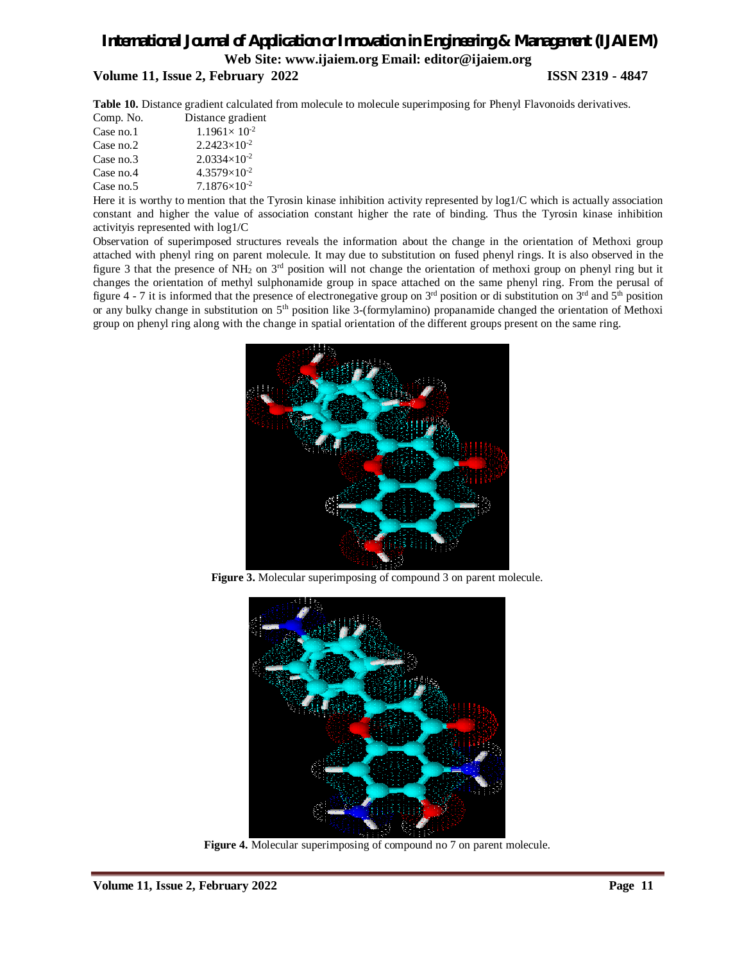**Volume 11, Issue 2, February 2022 ISSN 2319 - 4847**

**Table 10.** Distance gradient calculated from molecule to molecule superimposing for Phenyl Flavonoids derivatives.

| Comp. No. | Distance gradient       |
|-----------|-------------------------|
| Case no.1 | $1.1961 \times 10^{-2}$ |
| Case no.2 | $2.2423\times10^{-2}$   |
| Case no.3 | $2.0334\times10^{-2}$   |
| Case no.4 | $4.3579\times10^{-2}$   |
| Case no.5 | $7.1876\times10^{-2}$   |

Here it is worthy to mention that the Tyrosin kinase inhibition activity represented by log1/C which is actually association constant and higher the value of association constant higher the rate of binding. Thus the Tyrosin kinase inhibition activityis represented with log1/C

Observation of superimposed structures reveals the information about the change in the orientation of Methoxi group attached with phenyl ring on parent molecule. It may due to substitution on fused phenyl rings. It is also observed in the figure 3 that the presence of  $NH_2$  on  $3<sup>rd</sup>$  position will not change the orientation of methoxi group on phenyl ring but it changes the orientation of methyl sulphonamide group in space attached on the same phenyl ring. From the perusal of figure 4 - 7 it is informed that the presence of electronegative group on  $3<sup>rd</sup>$  position or di substitution on  $3<sup>rd</sup>$  and  $5<sup>th</sup>$  position or any bulky change in substitution on 5th position like 3-(formylamino) propanamide changed the orientation of Methoxi group on phenyl ring along with the change in spatial orientation of the different groups present on the same ring.



**Figure 3.** Molecular superimposing of compound 3 on parent molecule.



**Figure 4.** Molecular superimposing of compound no 7 on parent molecule.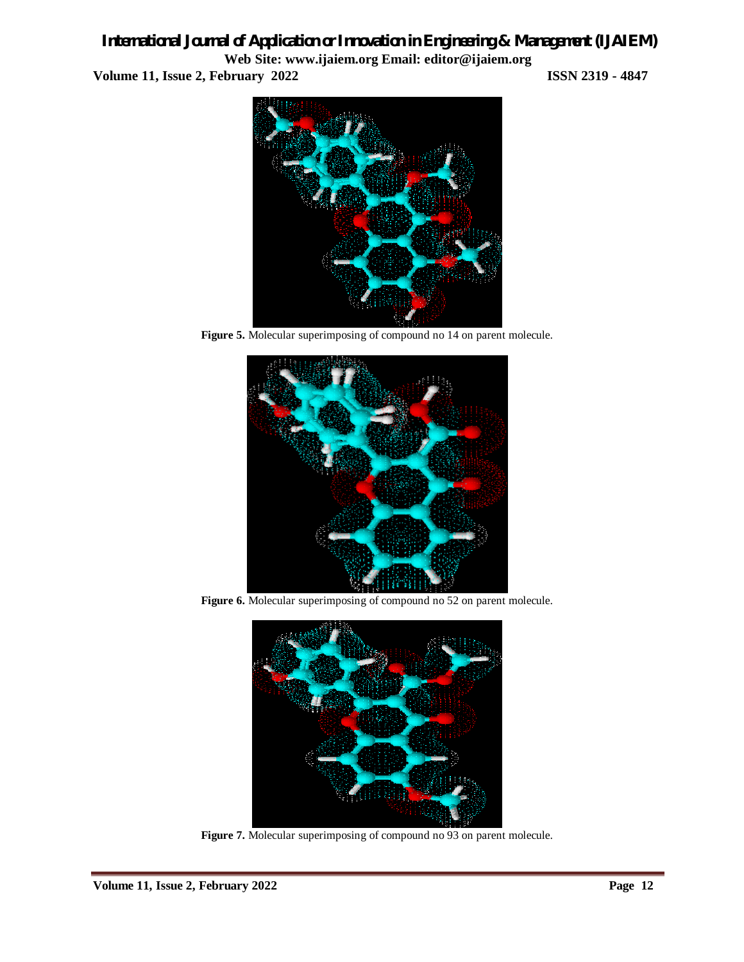*International Journal of Application or Innovation in Engineering & Management (IJAIEM)* **Web Site: www.ijaiem.org Email: editor@ijaiem.org Volume 11, Issue 2, February 2022 ISSN 2319 - 4847**



Figure 5. Molecular superimposing of compound no 14 on parent molecule.



Figure 6. Molecular superimposing of compound no 52 on parent molecule.



Figure 7. Molecular superimposing of compound no 93 on parent molecule.